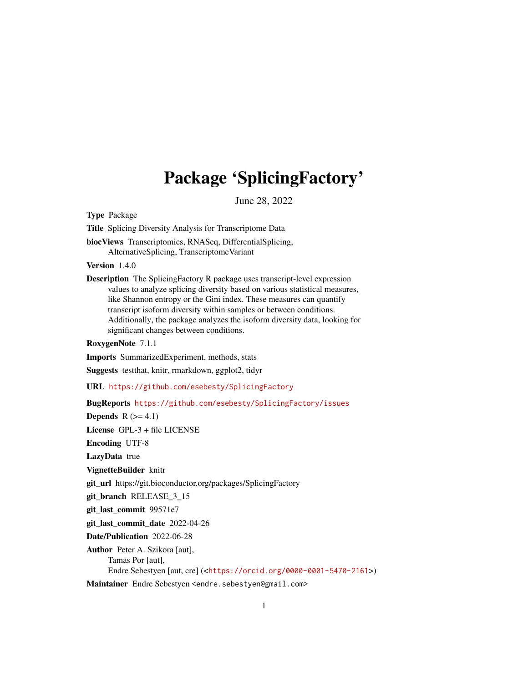## Package 'SplicingFactory'

June 28, 2022

Type Package

Title Splicing Diversity Analysis for Transcriptome Data

biocViews Transcriptomics, RNASeq, DifferentialSplicing, AlternativeSplicing, TranscriptomeVariant

Version 1.4.0

Description The SplicingFactory R package uses transcript-level expression values to analyze splicing diversity based on various statistical measures, like Shannon entropy or the Gini index. These measures can quantify transcript isoform diversity within samples or between conditions. Additionally, the package analyzes the isoform diversity data, looking for significant changes between conditions.

RoxygenNote 7.1.1

Imports SummarizedExperiment, methods, stats

Suggests testthat, knitr, rmarkdown, ggplot2, tidyr

URL <https://github.com/esebesty/SplicingFactory>

BugReports <https://github.com/esebesty/SplicingFactory/issues>

Depends  $R$  ( $>= 4.1$ )

License GPL-3 + file LICENSE

Encoding UTF-8

LazyData true

VignetteBuilder knitr

git\_url https://git.bioconductor.org/packages/SplicingFactory

git\_branch RELEASE\_3\_15

git\_last\_commit 99571e7

git last commit date 2022-04-26

Date/Publication 2022-06-28

Author Peter A. Szikora [aut], Tamas Por [aut], Endre Sebestyen [aut, cre] (<<https://orcid.org/0000-0001-5470-2161>>)

Maintainer Endre Sebestyen <endre.sebestyen@gmail.com>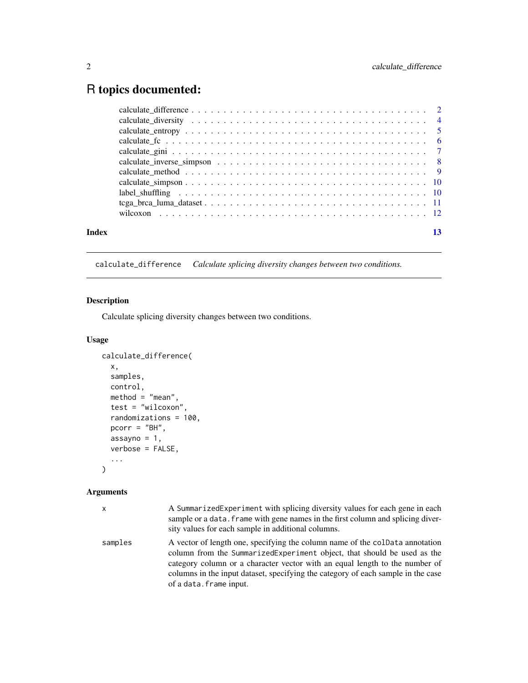## <span id="page-1-0"></span>R topics documented:

| Index |                                                                         | 13 |
|-------|-------------------------------------------------------------------------|----|
|       |                                                                         |    |
|       |                                                                         |    |
|       | label shuffling expansion is expansional interview in the state of $10$ |    |
|       |                                                                         |    |
|       |                                                                         |    |
|       |                                                                         |    |
|       |                                                                         |    |
|       |                                                                         |    |
|       |                                                                         |    |
|       |                                                                         |    |
|       |                                                                         |    |

calculate\_difference *Calculate splicing diversity changes between two conditions.*

## Description

Calculate splicing diversity changes between two conditions.

## Usage

```
calculate_difference(
 x,
 samples,
 control,
 method = "mean",test = "wilcoxon",
 randomizations = 100,
 pcorr = "BH",
 assayno = 1,verbose = FALSE,
  ...
)
```
## Arguments

| $\mathsf{x}$ | A SummarizedExperiment with splicing diversity values for each gene in each<br>sample or a data. frame with gene names in the first column and splicing diver-<br>sity values for each sample in additional columns.                                                                                                                                  |
|--------------|-------------------------------------------------------------------------------------------------------------------------------------------------------------------------------------------------------------------------------------------------------------------------------------------------------------------------------------------------------|
| samples      | A vector of length one, specifying the column name of the colData annotation<br>column from the SummarizedExperiment object, that should be used as the<br>category column or a character vector with an equal length to the number of<br>columns in the input dataset, specifying the category of each sample in the case<br>of a data. frame input. |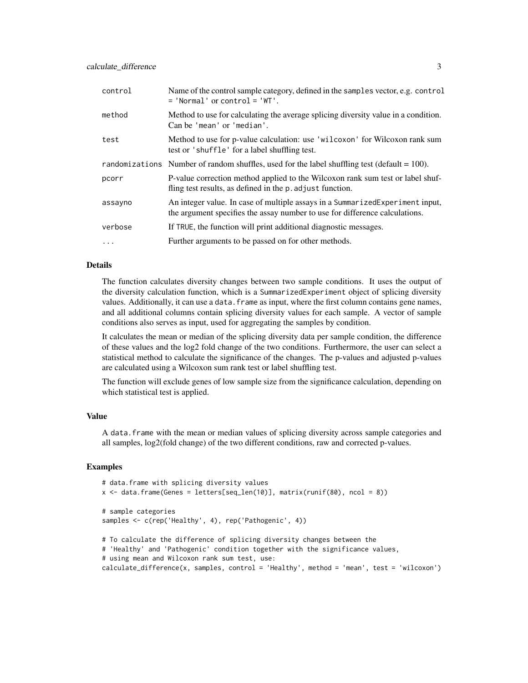| control    | Name of the control sample category, defined in the samples vector, e.g. control<br>$=$ 'Normal' or control $=$ 'WT'.                                         |
|------------|---------------------------------------------------------------------------------------------------------------------------------------------------------------|
| method     | Method to use for calculating the average splicing diversity value in a condition.<br>Can be 'mean' or 'median'.                                              |
| test       | Method to use for p-value calculation: use 'wilcoxon' for Wilcoxon rank sum<br>test or 'shuffle' for a label shuffling test.                                  |
|            | randomizations Number of random shuffles, used for the label shuffling test (default $= 100$ ).                                                               |
| pcorr      | P-value correction method applied to the Wilcoxon rank sum test or label shuf-<br>fling test results, as defined in the p. adjust function.                   |
| assayno    | An integer value. In case of multiple assays in a Summarized Experiment input,<br>the argument specifies the assay number to use for difference calculations. |
| verbose    | If TRUE, the function will print additional diagnostic messages.                                                                                              |
| $\ddots$ . | Further arguments to be passed on for other methods.                                                                                                          |

## Details

The function calculates diversity changes between two sample conditions. It uses the output of the diversity calculation function, which is a SummarizedExperiment object of splicing diversity values. Additionally, it can use a data.frame as input, where the first column contains gene names, and all additional columns contain splicing diversity values for each sample. A vector of sample conditions also serves as input, used for aggregating the samples by condition.

It calculates the mean or median of the splicing diversity data per sample condition, the difference of these values and the log2 fold change of the two conditions. Furthermore, the user can select a statistical method to calculate the significance of the changes. The p-values and adjusted p-values are calculated using a Wilcoxon sum rank test or label shuffling test.

The function will exclude genes of low sample size from the significance calculation, depending on which statistical test is applied.

#### Value

A data.frame with the mean or median values of splicing diversity across sample categories and all samples, log2(fold change) of the two different conditions, raw and corrected p-values.

#### Examples

```
# data.frame with splicing diversity values
x \leq data.frame(Genes = letters[seq_len(10)], matrix(runif(80), ncol = 8))
# sample categories
samples <- c(rep('Healthy', 4), rep('Pathogenic', 4))
# To calculate the difference of splicing diversity changes between the
# 'Healthy' and 'Pathogenic' condition together with the significance values,
# using mean and Wilcoxon rank sum test, use:
```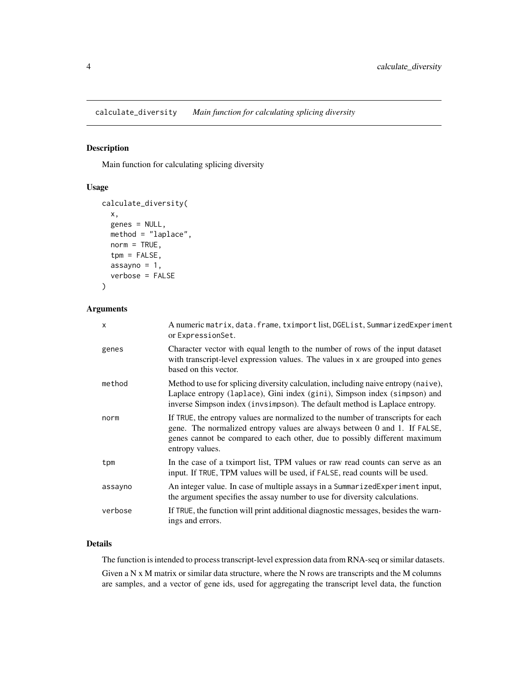<span id="page-3-0"></span>calculate\_diversity *Main function for calculating splicing diversity*

## Description

Main function for calculating splicing diversity

#### Usage

```
calculate_diversity(
  x,
  genes = NULL,
  method = "laplace",
  norm = TRUE,tpm = FALSE,
  assayno = 1,
  verbose = FALSE
\mathcal{L}
```
#### Arguments

| X       | A numeric matrix, data. frame, tximport list, DGEList, SummarizedExperiment<br>or ExpressionSet.                                                                                                                                                              |
|---------|---------------------------------------------------------------------------------------------------------------------------------------------------------------------------------------------------------------------------------------------------------------|
| genes   | Character vector with equal length to the number of rows of the input dataset<br>with transcript-level expression values. The values in x are grouped into genes<br>based on this vector.                                                                     |
| method  | Method to use for splicing diversity calculation, including naive entropy (naive),<br>Laplace entropy (laplace), Gini index (gini), Simpson index (simpson) and<br>inverse Simpson index (invsimpson). The default method is Laplace entropy.                 |
| norm    | If TRUE, the entropy values are normalized to the number of transcripts for each<br>gene. The normalized entropy values are always between 0 and 1. If FALSE,<br>genes cannot be compared to each other, due to possibly different maximum<br>entropy values. |
| tpm     | In the case of a tximport list, TPM values or raw read counts can serve as an<br>input. If TRUE, TPM values will be used, if FALSE, read counts will be used.                                                                                                 |
| assayno | An integer value. In case of multiple assays in a SummarizedExperiment input,<br>the argument specifies the assay number to use for diversity calculations.                                                                                                   |
| verbose | If TRUE, the function will print additional diagnostic messages, besides the warn-<br>ings and errors.                                                                                                                                                        |

## Details

The function is intended to process transcript-level expression data from RNA-seq or similar datasets. Given a N x M matrix or similar data structure, where the N rows are transcripts and the M columns are samples, and a vector of gene ids, used for aggregating the transcript level data, the function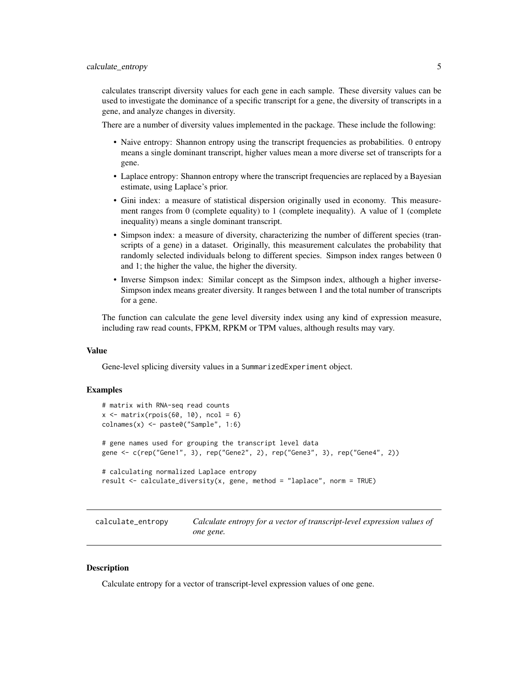<span id="page-4-0"></span>calculates transcript diversity values for each gene in each sample. These diversity values can be used to investigate the dominance of a specific transcript for a gene, the diversity of transcripts in a gene, and analyze changes in diversity.

There are a number of diversity values implemented in the package. These include the following:

- Naive entropy: Shannon entropy using the transcript frequencies as probabilities. 0 entropy means a single dominant transcript, higher values mean a more diverse set of transcripts for a gene.
- Laplace entropy: Shannon entropy where the transcript frequencies are replaced by a Bayesian estimate, using Laplace's prior.
- Gini index: a measure of statistical dispersion originally used in economy. This measurement ranges from 0 (complete equality) to 1 (complete inequality). A value of 1 (complete inequality) means a single dominant transcript.
- Simpson index: a measure of diversity, characterizing the number of different species (transcripts of a gene) in a dataset. Originally, this measurement calculates the probability that randomly selected individuals belong to different species. Simpson index ranges between 0 and 1; the higher the value, the higher the diversity.
- Inverse Simpson index: Similar concept as the Simpson index, although a higher inverse-Simpson index means greater diversity. It ranges between 1 and the total number of transcripts for a gene.

The function can calculate the gene level diversity index using any kind of expression measure, including raw read counts, FPKM, RPKM or TPM values, although results may vary.

## Value

Gene-level splicing diversity values in a SummarizedExperiment object.

## Examples

```
# matrix with RNA-seq read counts
x \le matrix(rpois(60, 10), ncol = 6)
colnames(x) <- paste0("Sample", 1:6)
# gene names used for grouping the transcript level data
gene <- c(rep("Gene1", 3), rep("Gene2", 2), rep("Gene3", 3), rep("Gene4", 2))
# calculating normalized Laplace entropy
result <- calculate_diversity(x, gene, method = "laplace", norm = TRUE)
```

| calculate_entropy | Calculate entropy for a vector of transcript-level expression values of |
|-------------------|-------------------------------------------------------------------------|
|                   | one gene.                                                               |

#### **Description**

Calculate entropy for a vector of transcript-level expression values of one gene.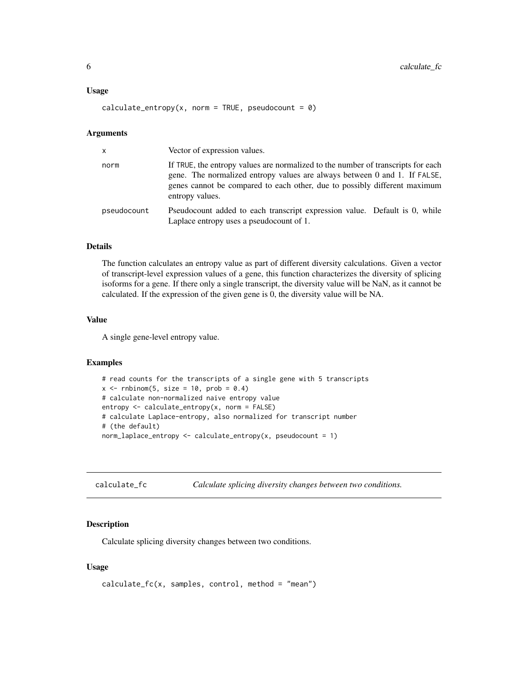#### <span id="page-5-0"></span>Usage

calculate\_entropy(x, norm = TRUE, pseudocount =  $\theta$ )

#### Arguments

| $\mathsf{x}$ | Vector of expression values.                                                                                                                                                                                                                                  |
|--------------|---------------------------------------------------------------------------------------------------------------------------------------------------------------------------------------------------------------------------------------------------------------|
| norm         | If TRUE, the entropy values are normalized to the number of transcripts for each<br>gene. The normalized entropy values are always between 0 and 1. If FALSE,<br>genes cannot be compared to each other, due to possibly different maximum<br>entropy values. |
| pseudocount  | Pseudocount added to each transcript expression value. Default is 0, while<br>Laplace entropy uses a pseudocount of 1.                                                                                                                                        |

## Details

The function calculates an entropy value as part of different diversity calculations. Given a vector of transcript-level expression values of a gene, this function characterizes the diversity of splicing isoforms for a gene. If there only a single transcript, the diversity value will be NaN, as it cannot be calculated. If the expression of the given gene is 0, the diversity value will be NA.

#### Value

A single gene-level entropy value.

#### Examples

```
# read counts for the transcripts of a single gene with 5 transcripts
x \le rnbinom(5, size = 10, prob = 0.4)
# calculate non-normalized naive entropy value
entropy <- calculate_entropy(x, norm = FALSE)
# calculate Laplace-entropy, also normalized for transcript number
# (the default)
norm_laplace_entropy <- calculate_entropy(x, pseudocount = 1)
```
calculate\_fc *Calculate splicing diversity changes between two conditions.*

#### Description

Calculate splicing diversity changes between two conditions.

#### Usage

```
calculate_f c(x, samples, control, method = "mean")
```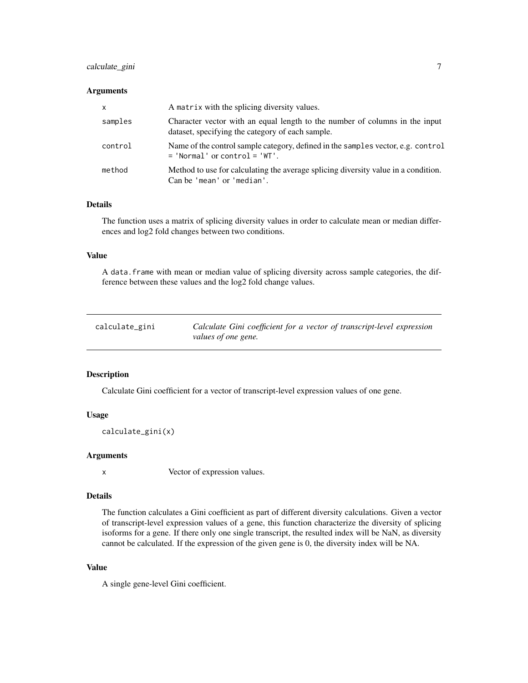## <span id="page-6-0"></span>calculate\_gini 7

#### **Arguments**

| $\mathsf{x}$ | A matrix with the splicing diversity values.                                                                                    |
|--------------|---------------------------------------------------------------------------------------------------------------------------------|
| samples      | Character vector with an equal length to the number of columns in the input<br>dataset, specifying the category of each sample. |
| control      | Name of the control sample category, defined in the samples vector, e.g. control<br>$=$ 'Normal' or control $=$ 'WT'.           |
| method       | Method to use for calculating the average splicing diversity value in a condition.<br>Can be 'mean' or 'median'.                |

## Details

The function uses a matrix of splicing diversity values in order to calculate mean or median differences and log2 fold changes between two conditions.

#### Value

A data.frame with mean or median value of splicing diversity across sample categories, the difference between these values and the log2 fold change values.

| calculate_gini | Calculate Gini coefficient for a vector of transcript-level expression |
|----------------|------------------------------------------------------------------------|
|                | values of one gene.                                                    |

## Description

Calculate Gini coefficient for a vector of transcript-level expression values of one gene.

#### Usage

```
calculate_gini(x)
```
#### Arguments

x Vector of expression values.

#### Details

The function calculates a Gini coefficient as part of different diversity calculations. Given a vector of transcript-level expression values of a gene, this function characterize the diversity of splicing isoforms for a gene. If there only one single transcript, the resulted index will be NaN, as diversity cannot be calculated. If the expression of the given gene is 0, the diversity index will be NA.

## Value

A single gene-level Gini coefficient.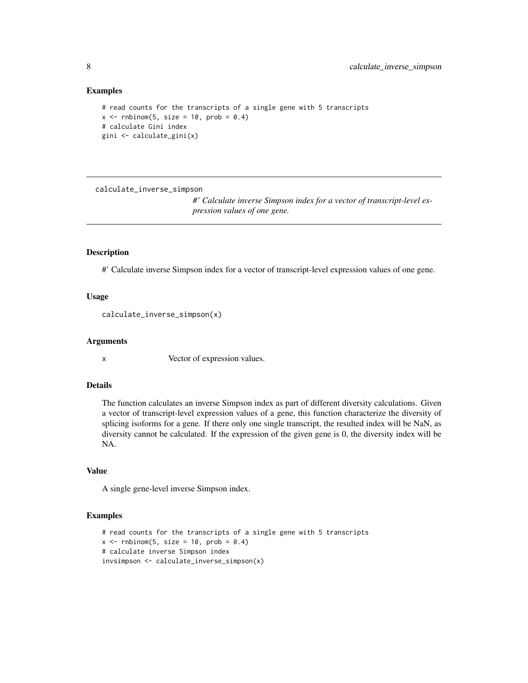#### Examples

```
# read counts for the transcripts of a single gene with 5 transcripts
x \le rnbinom(5, size = 10, prob = 0.4)
# calculate Gini index
gini <- calculate_gini(x)
```
calculate\_inverse\_simpson

*#' Calculate inverse Simpson index for a vector of transcript-level expression values of one gene.*

## Description

#' Calculate inverse Simpson index for a vector of transcript-level expression values of one gene.

#### Usage

calculate\_inverse\_simpson(x)

#### Arguments

x Vector of expression values.

## Details

The function calculates an inverse Simpson index as part of different diversity calculations. Given a vector of transcript-level expression values of a gene, this function characterize the diversity of splicing isoforms for a gene. If there only one single transcript, the resulted index will be NaN, as diversity cannot be calculated. If the expression of the given gene is 0, the diversity index will be NA.

#### Value

A single gene-level inverse Simpson index.

#### Examples

```
# read counts for the transcripts of a single gene with 5 transcripts
x \le - rnbinom(5, size = 10, prob = 0.4)
# calculate inverse Simpson index
invsimpson <- calculate_inverse_simpson(x)
```
<span id="page-7-0"></span>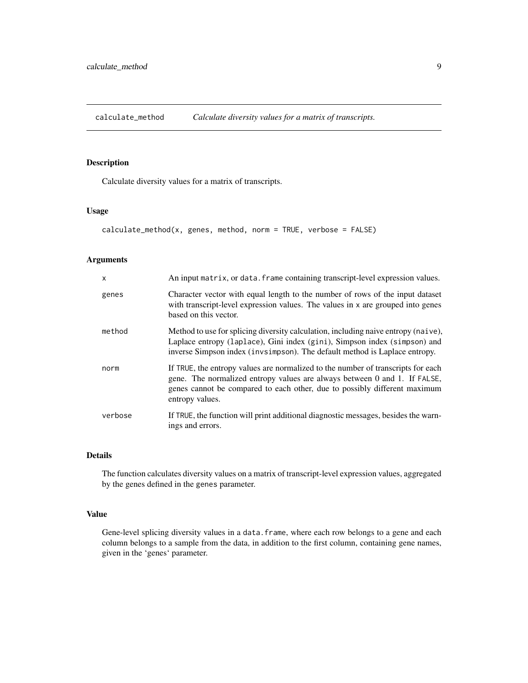<span id="page-8-0"></span>calculate\_method *Calculate diversity values for a matrix of transcripts.*

### Description

Calculate diversity values for a matrix of transcripts.

#### Usage

```
calcutate_method(x, genes, method, norm = TRUE, verbose = FALSE)
```
#### Arguments

| $\mathsf{x}$ | An input matrix, or data. frame containing transcript-level expression values.                                                                                                                                                                                |
|--------------|---------------------------------------------------------------------------------------------------------------------------------------------------------------------------------------------------------------------------------------------------------------|
| genes        | Character vector with equal length to the number of rows of the input dataset<br>with transcript-level expression values. The values in x are grouped into genes<br>based on this vector.                                                                     |
| method       | Method to use for splicing diversity calculation, including naive entropy (naive),<br>Laplace entropy (laplace), Gini index (gini), Simpson index (simpson) and<br>inverse Simpson index (invsimpson). The default method is Laplace entropy.                 |
| norm         | If TRUE, the entropy values are normalized to the number of transcripts for each<br>gene. The normalized entropy values are always between 0 and 1. If FALSE,<br>genes cannot be compared to each other, due to possibly different maximum<br>entropy values. |
| verbose      | If TRUE, the function will print additional diagnostic messages, besides the warn-<br>ings and errors.                                                                                                                                                        |

## Details

The function calculates diversity values on a matrix of transcript-level expression values, aggregated by the genes defined in the genes parameter.

## Value

Gene-level splicing diversity values in a data. frame, where each row belongs to a gene and each column belongs to a sample from the data, in addition to the first column, containing gene names, given in the 'genes' parameter.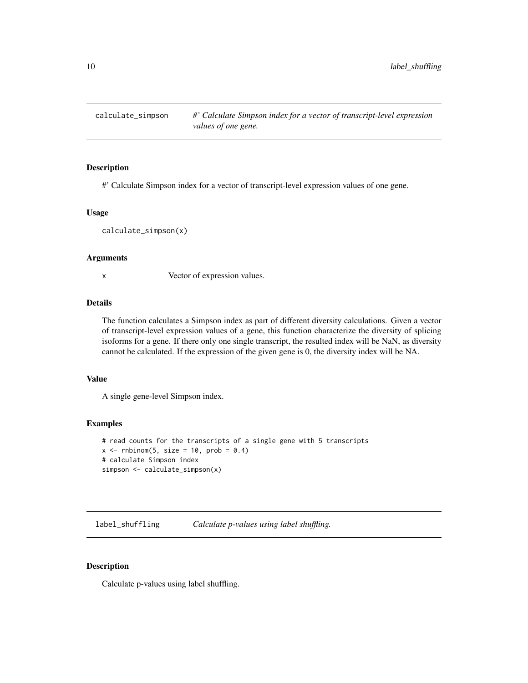<span id="page-9-0"></span>calculate\_simpson *#' Calculate Simpson index for a vector of transcript-level expression values of one gene.*

#### Description

#' Calculate Simpson index for a vector of transcript-level expression values of one gene.

#### Usage

calculate\_simpson(x)

#### Arguments

x Vector of expression values.

## Details

The function calculates a Simpson index as part of different diversity calculations. Given a vector of transcript-level expression values of a gene, this function characterize the diversity of splicing isoforms for a gene. If there only one single transcript, the resulted index will be NaN, as diversity cannot be calculated. If the expression of the given gene is 0, the diversity index will be NA.

### Value

A single gene-level Simpson index.

## Examples

```
# read counts for the transcripts of a single gene with 5 transcripts
x \le rnbinom(5, size = 10, prob = 0.4)
# calculate Simpson index
simpson <- calculate_simpson(x)
```
label\_shuffling *Calculate p-values using label shuffling.*

#### Description

Calculate p-values using label shuffling.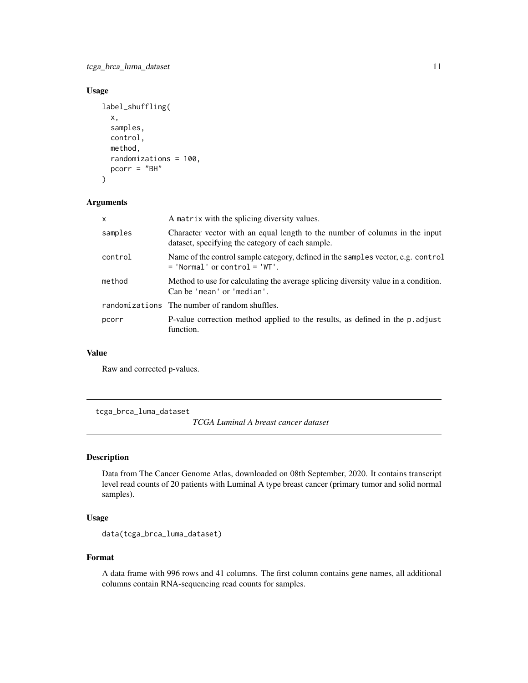<span id="page-10-0"></span>tcga\_brca\_luma\_dataset 11

## Usage

```
label_shuffling(
  x,
  samples,
  control,
  method,
  randomizations = 100,
 pcorr = "BH"
)
```
#### Arguments

| $\mathsf{x}$ | A matrix with the splicing diversity values.                                                                                    |
|--------------|---------------------------------------------------------------------------------------------------------------------------------|
| samples      | Character vector with an equal length to the number of columns in the input<br>dataset, specifying the category of each sample. |
| control      | Name of the control sample category, defined in the samples vector, e.g. control<br>$=$ 'Normal' or control $=$ 'WT'.           |
| method       | Method to use for calculating the average splicing diversity value in a condition.<br>Can be 'mean' or 'median'.                |
|              | randomizations The number of random shuffles.                                                                                   |
| pcorr        | P-value correction method applied to the results, as defined in the p. adjust<br>function.                                      |

#### Value

Raw and corrected p-values.

tcga\_brca\_luma\_dataset

*TCGA Luminal A breast cancer dataset*

## Description

Data from The Cancer Genome Atlas, downloaded on 08th September, 2020. It contains transcript level read counts of 20 patients with Luminal A type breast cancer (primary tumor and solid normal samples).

## Usage

```
data(tcga_brca_luma_dataset)
```
#### Format

A data frame with 996 rows and 41 columns. The first column contains gene names, all additional columns contain RNA-sequencing read counts for samples.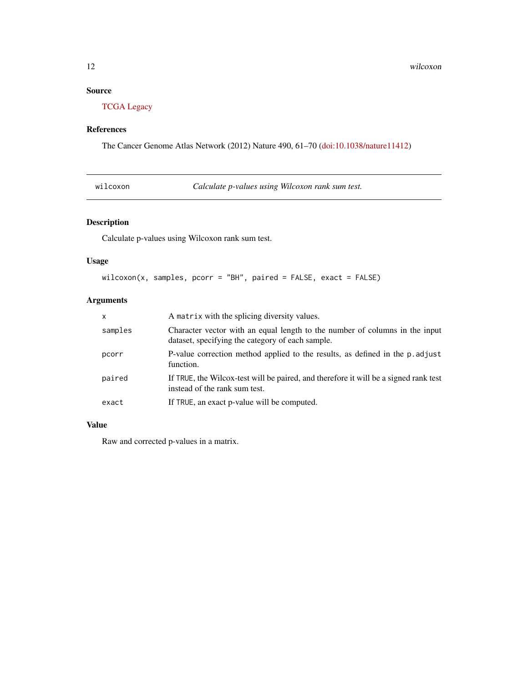## <span id="page-11-0"></span>Source

[TCGA Legacy](https://portal.gdc.cancer.gov/legacy-archive)

## References

The Cancer Genome Atlas Network (2012) Nature 490, 61–70 [\(doi:10.1038/nature11412\)](https://doi.org/10.1038/nature11412)

|  | wilcoxon |
|--|----------|
|  |          |

Calculate *p-values using Wilcoxon rank sum test.* 

## Description

Calculate p-values using Wilcoxon rank sum test.

## Usage

```
wilcoxon(x, samples, pcorr = "BH", paired = FALSE, exact = FALSE)
```
## Arguments

| X       | A matrix with the splicing diversity values.                                                                                    |
|---------|---------------------------------------------------------------------------------------------------------------------------------|
| samples | Character vector with an equal length to the number of columns in the input<br>dataset, specifying the category of each sample. |
| pcorr   | P-value correction method applied to the results, as defined in the p. adjust<br>function.                                      |
| paired  | If TRUE, the Wilcox-test will be paired, and therefore it will be a signed rank test<br>instead of the rank sum test.           |
| exact   | If TRUE, an exact p-value will be computed.                                                                                     |

## Value

Raw and corrected p-values in a matrix.